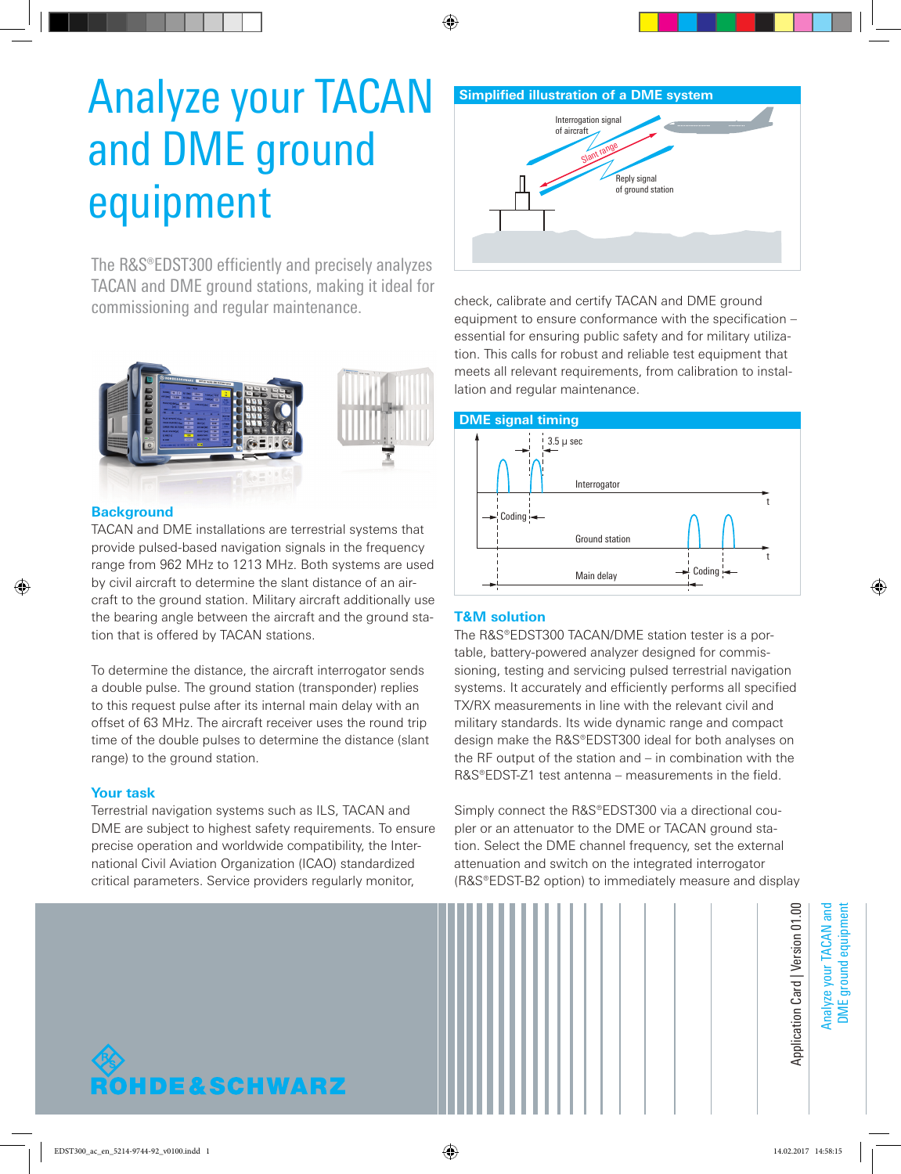# Analyze your TACAN and DME ground equipment

The R&S®EDST300 efficiently and precisely analyzes TACAN and DME ground stations, making it ideal for commissioning and regular maintenance.



## **Background**

TACAN and DME installations are terrestrial systems that provide pulsed-based navigation signals in the frequency range from 962 MHz to 1213 MHz. Both systems are used by civil aircraft to determine the slant distance of an aircraft to the ground station. Military aircraft additionally use the bearing angle between the aircraft and the ground station that is offered by TACAN stations.

To determine the distance, the aircraft interrogator sends a double pulse. The ground station (transponder) replies to this request pulse after its internal main delay with an offset of 63 MHz. The aircraft receiver uses the round trip time of the double pulses to determine the distance (slant range) to the ground station.

### **Your task**

Terrestrial navigation systems such as ILS, TACAN and DME are subject to highest safety requirements. To ensure precise operation and worldwide compatibility, the International Civil Aviation Organization (ICAO) standardized critical parameters. Service providers regularly monitor,

# **Simplified illustration of a DME system** Reply signal of ground station Interrogation signal of aircraft Slant range

check, calibrate and certify TACAN and DME ground equipment to ensure conformance with the specification – essential for ensuring public safety and for military utilization. This calls for robust and reliable test equipment that meets all relevant requirements, from calibration to installation and regular maintenance.



# **T&M solution**

The R&S®EDST300 TACAN/DME station tester is a portable, battery-powered analyzer designed for commissioning, testing and servicing pulsed terrestrial navigation systems. It accurately and efficiently performs all specified TX/RX measurements in line with the relevant civil and military standards. Its wide dynamic range and compact design make the R&S®EDST300 ideal for both analyses on the RF output of the station and – in combination with the R&S®EDST-Z1 test antenna – measurements in the field.

Simply connect the R&S®EDST300 via a directional coupler or an attenuator to the DME or TACAN ground station. Select the DME channel frequency, set the external attenuation and switch on the integrated interrogator (R&S®EDST-B2 option) to immediately measure and display



DME ground equipment **DME** ground equipment